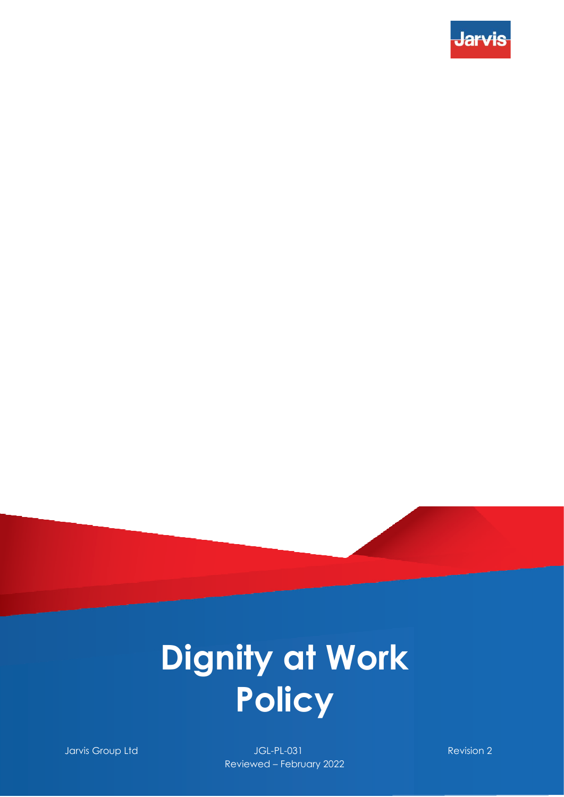



**Jarvis Group Ltd JGL-PL-031** Revision 2 Reviewed – February 2022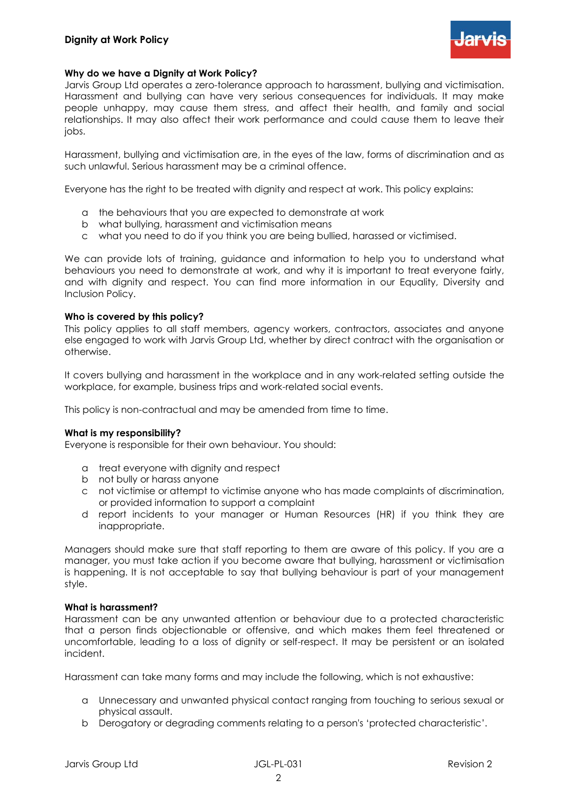

## **Why do we have a Dignity at Work Policy?**

Jarvis Group Ltd operates a zero-tolerance approach to harassment, bullying and victimisation. Harassment and bullying can have very serious consequences for individuals. It may make people unhappy, may cause them stress, and affect their health, and family and social relationships. It may also affect their work performance and could cause them to leave their jobs.

Harassment, bullying and victimisation are, in the eyes of the law, forms of discrimination and as such unlawful. Serious harassment may be a criminal offence.

Everyone has the right to be treated with dignity and respect at work. This policy explains:

- a the behaviours that you are expected to demonstrate at work
- b what bullying, harassment and victimisation means
- c what you need to do if you think you are being bullied, harassed or victimised.

We can provide lots of training, guidance and information to help you to understand what behaviours you need to demonstrate at work, and why it is important to treat everyone fairly, and with dignity and respect. You can find more information in our Equality, Diversity and Inclusion Policy.

#### **Who is covered by this policy?**

This policy applies to all staff members, agency workers, contractors, associates and anyone else engaged to work with Jarvis Group Ltd, whether by direct contract with the organisation or otherwise.

It covers bullying and harassment in the workplace and in any work-related setting outside the workplace, for example, business trips and work-related social events.

This policy is non-contractual and may be amended from time to time.

#### **What is my responsibility?**

Everyone is responsible for their own behaviour. You should:

- a treat everyone with dignity and respect
- b not bully or harass anyone
- c not victimise or attempt to victimise anyone who has made complaints of discrimination, or provided information to support a complaint
- d report incidents to your manager or Human Resources (HR) if you think they are inappropriate.

Managers should make sure that staff reporting to them are aware of this policy. If you are a manager, you must take action if you become aware that bullying, harassment or victimisation is happening. It is not acceptable to say that bullying behaviour is part of your management style.

## **What is harassment?**

Harassment can be any unwanted attention or behaviour due to a protected characteristic that a person finds objectionable or offensive, and which makes them feel threatened or uncomfortable, leading to a loss of dignity or self-respect. It may be persistent or an isolated incident.

Harassment can take many forms and may include the following, which is not exhaustive:

- a Unnecessary and unwanted physical contact ranging from touching to serious sexual or physical assault.
- b Derogatory or degrading comments relating to a person's 'protected characteristic'.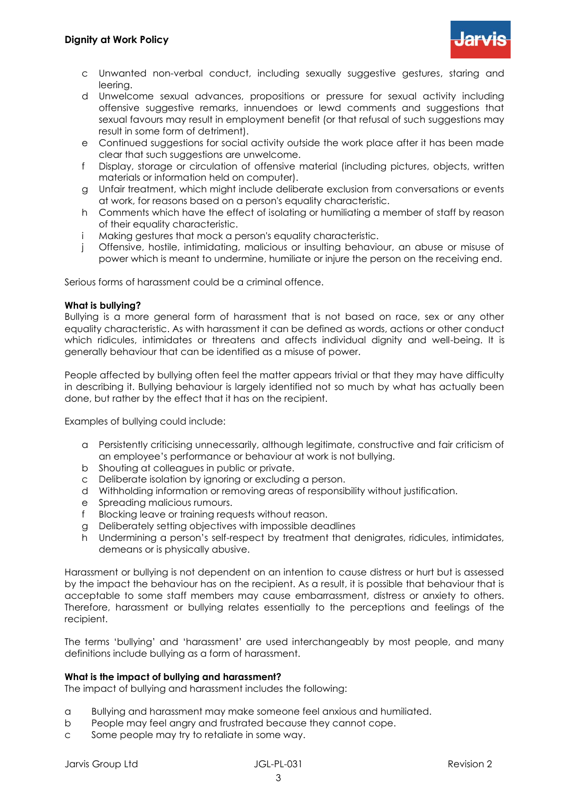

- c Unwanted non-verbal conduct, including sexually suggestive gestures, staring and leering.
- d Unwelcome sexual advances, propositions or pressure for sexual activity including offensive suggestive remarks, innuendoes or lewd comments and suggestions that sexual favours may result in employment benefit (or that refusal of such suggestions may result in some form of detriment).
- e Continued suggestions for social activity outside the work place after it has been made clear that such suggestions are unwelcome.
- f Display, storage or circulation of offensive material (including pictures, objects, written materials or information held on computer).
- g Unfair treatment, which might include deliberate exclusion from conversations or events at work, for reasons based on a person's equality characteristic.
- h Comments which have the effect of isolating or humiliating a member of staff by reason of their equality characteristic.
- i Making gestures that mock a person's equality characteristic.
- j Offensive, hostile, intimidating, malicious or insulting behaviour, an abuse or misuse of power which is meant to undermine, humiliate or injure the person on the receiving end.

Serious forms of harassment could be a criminal offence.

#### **What is bullying?**

Bullying is a more general form of harassment that is not based on race, sex or any other equality characteristic. As with harassment it can be defined as words, actions or other conduct which ridicules, intimidates or threatens and affects individual dignity and well-being. It is generally behaviour that can be identified as a misuse of power.

People affected by bullying often feel the matter appears trivial or that they may have difficulty in describing it. Bullying behaviour is largely identified not so much by what has actually been done, but rather by the effect that it has on the recipient.

Examples of bullying could include:

- a Persistently criticising unnecessarily, although legitimate, constructive and fair criticism of an employee's performance or behaviour at work is not bullying.
- b Shouting at colleagues in public or private.
- c Deliberate isolation by ignoring or excluding a person.
- d Withholding information or removing areas of responsibility without justification.
- e Spreading malicious rumours.
- f Blocking leave or training requests without reason.
- g Deliberately setting objectives with impossible deadlines
- h Undermining a person's self-respect by treatment that denigrates, ridicules, intimidates, demeans or is physically abusive.

Harassment or bullying is not dependent on an intention to cause distress or hurt but is assessed by the impact the behaviour has on the recipient. As a result, it is possible that behaviour that is acceptable to some staff members may cause embarrassment, distress or anxiety to others. Therefore, harassment or bullying relates essentially to the perceptions and feelings of the recipient.

The terms 'bullying' and 'harassment' are used interchangeably by most people, and many definitions include bullying as a form of harassment.

## **What is the impact of bullying and harassment?**

The impact of bullying and harassment includes the following:

- a Bullying and harassment may make someone feel anxious and humiliated.
- b People may feel angry and frustrated because they cannot cope.
- c Some people may try to retaliate in some way.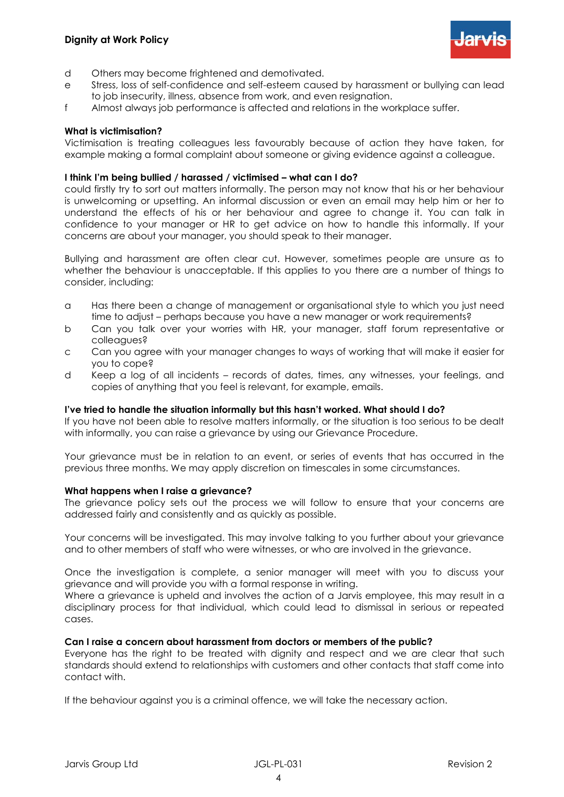

- d Others may become frightened and demotivated.
- e Stress, loss of self-confidence and self-esteem caused by harassment or bullying can lead to job insecurity, illness, absence from work, and even resignation.
- f Almost always job performance is affected and relations in the workplace suffer.

## **What is victimisation?**

Victimisation is treating colleagues less favourably because of action they have taken, for example making a formal complaint about someone or giving evidence against a colleague.

#### **I think I'm being bullied / harassed / victimised – what can I do?**

could firstly try to sort out matters informally. The person may not know that his or her behaviour is unwelcoming or upsetting. An informal discussion or even an email may help him or her to understand the effects of his or her behaviour and agree to change it. You can talk in confidence to your manager or HR to get advice on how to handle this informally. If your concerns are about your manager, you should speak to their manager.

Bullying and harassment are often clear cut. However, sometimes people are unsure as to whether the behaviour is unacceptable. If this applies to you there are a number of things to consider, including:

- a Has there been a change of management or organisational style to which you just need time to adjust – perhaps because you have a new manager or work requirements?
- b Can you talk over your worries with HR, your manager, staff forum representative or colleggues?
- c Can you agree with your manager changes to ways of working that will make it easier for you to cope?
- d Keep a log of all incidents records of dates, times, any witnesses, your feelings, and copies of anything that you feel is relevant, for example, emails.

## **I've tried to handle the situation informally but this hasn't worked. What should I do?**

If you have not been able to resolve matters informally, or the situation is too serious to be dealt with informally, you can raise a grievance by using our Grievance Procedure.

Your grievance must be in relation to an event, or series of events that has occurred in the previous three months. We may apply discretion on timescales in some circumstances.

#### **What happens when I raise a grievance?**

The grievance policy sets out the process we will follow to ensure that your concerns are addressed fairly and consistently and as quickly as possible.

Your concerns will be investigated. This may involve talking to you further about your grievance and to other members of staff who were witnesses, or who are involved in the grievance.

Once the investigation is complete, a senior manager will meet with you to discuss your grievance and will provide you with a formal response in writing.

Where a grievance is upheld and involves the action of a Jarvis employee, this may result in a disciplinary process for that individual, which could lead to dismissal in serious or repeated cases.

#### **Can I raise a concern about harassment from doctors or members of the public?**

Everyone has the right to be treated with dignity and respect and we are clear that such standards should extend to relationships with customers and other contacts that staff come into contact with.

If the behaviour against you is a criminal offence, we will take the necessary action.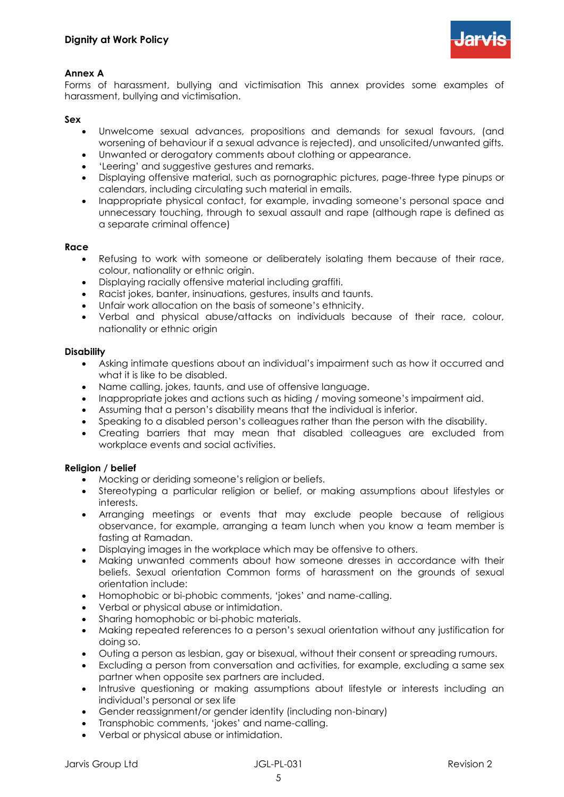

# **Annex A**

Forms of harassment, bullying and victimisation This annex provides some examples of harassment, bullying and victimisation.

# **Sex**

- Unwelcome sexual advances, propositions and demands for sexual favours, (and worsening of behaviour if a sexual advance is rejected), and unsolicited/unwanted gifts.
- Unwanted or derogatory comments about clothing or appearance.
- 'Leering' and suggestive gestures and remarks.
- Displaying offensive material, such as pornographic pictures, page-three type pinups or calendars, including circulating such material in emails.
- Inappropriate physical contact, for example, invading someone's personal space and unnecessary touching, through to sexual assault and rape (although rape is defined as a separate criminal offence)

# **Race**

- Refusing to work with someone or deliberately isolating them because of their race, colour, nationality or ethnic origin.
- Displaying racially offensive material including graffiti.
- Racist jokes, banter, insinuations, gestures, insults and taunts.
- Unfair work allocation on the basis of someone's ethnicity.
- Verbal and physical abuse/attacks on individuals because of their race, colour, nationality or ethnic origin

# **Disability**

- Asking intimate questions about an individual's impairment such as how it occurred and what it is like to be disabled.
- Name calling, jokes, taunts, and use of offensive language.
- Inappropriate jokes and actions such as hiding / moving someone's impairment aid.
- Assuming that a person's disability means that the individual is inferior.
- Speaking to a disabled person's colleagues rather than the person with the disability.
- Creating barriers that may mean that disabled colleagues are excluded from workplace events and social activities.

# **Religion / belief**

- Mocking or deriding someone's religion or beliefs.
- Stereotyping a particular religion or belief, or making assumptions about lifestyles or interests.
- Arranging meetings or events that may exclude people because of religious observance, for example, arranging a team lunch when you know a team member is fasting at Ramadan.
- Displaying images in the workplace which may be offensive to others.
- Making unwanted comments about how someone dresses in accordance with their beliefs. Sexual orientation Common forms of harassment on the grounds of sexual orientation include:
- Homophobic or bi-phobic comments, 'jokes' and name-calling.
- Verbal or physical abuse or intimidation.
- Sharing homophobic or bi-phobic materials.
- Making repeated references to a person's sexual orientation without any justification for doing so.
- Outing a person as lesbian, gay or bisexual, without their consent or spreading rumours.
- Excluding a person from conversation and activities, for example, excluding a same sex partner when opposite sex partners are included.
- Intrusive questioning or making assumptions about lifestyle or interests including an individual's personal or sex life
- Gender reassignment/or gender identity (including non-binary)
- Transphobic comments, 'jokes' and name-calling.
- Verbal or physical abuse or intimidation.